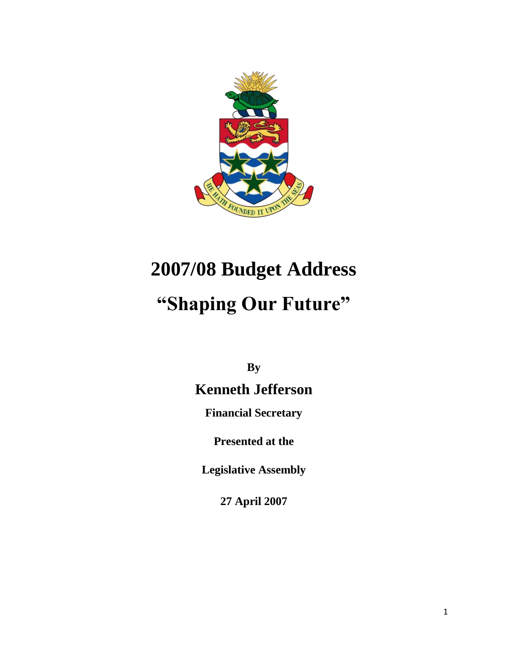

# **2007/08 Budget Address**

# **"Shaping Our Future"**

**By**

# **Kenneth Jefferson**

**Financial Secretary**

**Presented at the**

**Legislative Assembly**

**27 April 2007**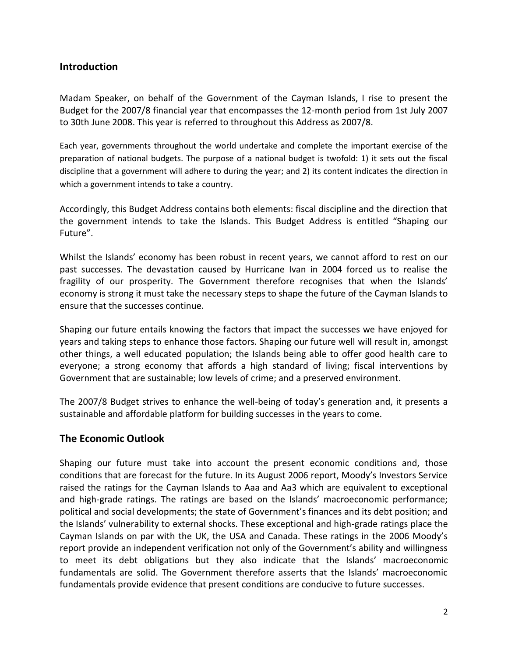### **Introduction**

Madam Speaker, on behalf of the Government of the Cayman Islands, I rise to present the Budget for the 2007/8 financial year that encompasses the 12-month period from 1st July 2007 to 30th June 2008. This year is referred to throughout this Address as 2007/8.

Each year, governments throughout the world undertake and complete the important exercise of the preparation of national budgets. The purpose of a national budget is twofold: 1) it sets out the fiscal discipline that a government will adhere to during the year; and 2) its content indicates the direction in which a government intends to take a country.

Accordingly, this Budget Address contains both elements: fiscal discipline and the direction that the government intends to take the Islands. This Budget Address is entitled "Shaping our Future".

Whilst the Islands' economy has been robust in recent years, we cannot afford to rest on our past successes. The devastation caused by Hurricane Ivan in 2004 forced us to realise the fragility of our prosperity. The Government therefore recognises that when the Islands' economy is strong it must take the necessary steps to shape the future of the Cayman Islands to ensure that the successes continue.

Shaping our future entails knowing the factors that impact the successes we have enjoyed for years and taking steps to enhance those factors. Shaping our future well will result in, amongst other things, a well educated population; the Islands being able to offer good health care to everyone; a strong economy that affords a high standard of living; fiscal interventions by Government that are sustainable; low levels of crime; and a preserved environment.

The 2007/8 Budget strives to enhance the well-being of today's generation and, it presents a sustainable and affordable platform for building successes in the years to come.

#### **The Economic Outlook**

Shaping our future must take into account the present economic conditions and, those conditions that are forecast for the future. In its August 2006 report, Moody's Investors Service raised the ratings for the Cayman Islands to Aaa and Aa3 which are equivalent to exceptional and high-grade ratings. The ratings are based on the Islands' macroeconomic performance; political and social developments; the state of Government's finances and its debt position; and the Islands' vulnerability to external shocks. These exceptional and high-grade ratings place the Cayman Islands on par with the UK, the USA and Canada. These ratings in the 2006 Moody's report provide an independent verification not only of the Government's ability and willingness to meet its debt obligations but they also indicate that the Islands' macroeconomic fundamentals are solid. The Government therefore asserts that the Islands' macroeconomic fundamentals provide evidence that present conditions are conducive to future successes.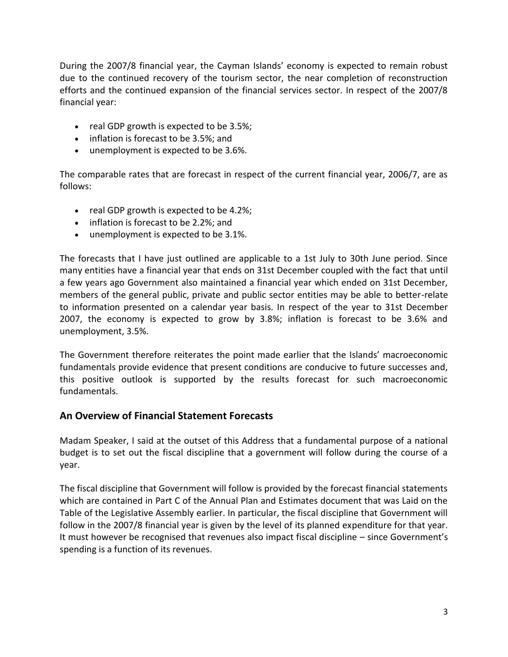During the 2007/8 financial year, the Cayman Islands' economy is expected to remain robust due to the continued recovery of the tourism sector, the near completion of reconstruction efforts and the continued expansion of the financial services sector. In respect of the 2007/8 financial year:

- $\bullet$  real GDP growth is expected to be 3.5%;
- inflation is forecast to be 3.5%; and
- unemployment is expected to be 3.6%.

The comparable rates that are forecast in respect of the current financial year, 2006/7, are as follows:

- $\bullet$  real GDP growth is expected to be 4.2%;
- inflation is forecast to be 2.2%; and
- unemployment is expected to be 3.1%.

The forecasts that I have just outlined are applicable to a 1st July to 30th June period. Since many entities have a financial year that ends on 31st December coupled with the fact that until a few years ago Government also maintained a financial year which ended on 31st December, members of the general public, private and public sector entities may be able to better-relate to information presented on a calendar year basis. In respect of the year to 31st December 2007, the economy is expected to grow by 3.8%; inflation is forecast to be 3.6% and unemployment, 3.5%.

The Government therefore reiterates the point made earlier that the Islands' macroeconomic fundamentals provide evidence that present conditions are conducive to future successes and, this positive outlook is supported by the results forecast for such macroeconomic fundamentals.

#### **An Overview of Financial Statement Forecasts**

Madam Speaker, I said at the outset of this Address that a fundamental purpose of a national budget is to set out the fiscal discipline that a government will follow during the course of a year.

The fiscal discipline that Government will follow is provided by the forecast financial statements which are contained in Part C of the Annual Plan and Estimates document that was Laid on the Table of the Legislative Assembly earlier. In particular, the fiscal discipline that Government will follow in the 2007/8 financial year is given by the level of its planned expenditure for that year. It must however be recognised that revenues also impact fiscal discipline – since Government's spending is a function of its revenues.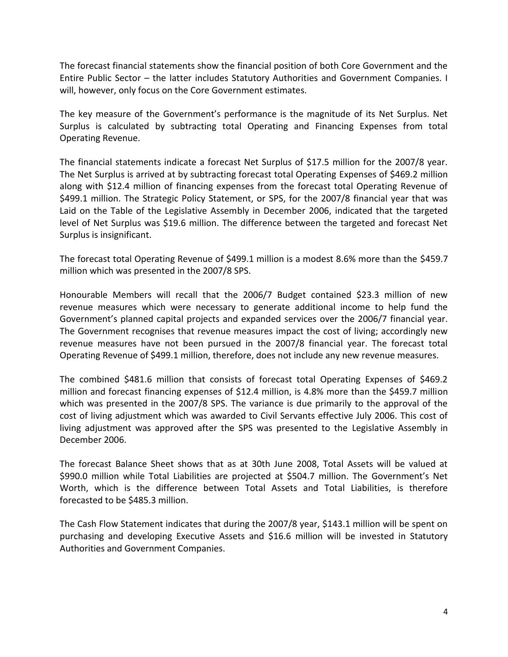The forecast financial statements show the financial position of both Core Government and the Entire Public Sector – the latter includes Statutory Authorities and Government Companies. I will, however, only focus on the Core Government estimates.

The key measure of the Government's performance is the magnitude of its Net Surplus. Net Surplus is calculated by subtracting total Operating and Financing Expenses from total Operating Revenue.

The financial statements indicate a forecast Net Surplus of \$17.5 million for the 2007/8 year. The Net Surplus is arrived at by subtracting forecast total Operating Expenses of \$469.2 million along with \$12.4 million of financing expenses from the forecast total Operating Revenue of \$499.1 million. The Strategic Policy Statement, or SPS, for the 2007/8 financial year that was Laid on the Table of the Legislative Assembly in December 2006, indicated that the targeted level of Net Surplus was \$19.6 million. The difference between the targeted and forecast Net Surplus is insignificant.

The forecast total Operating Revenue of \$499.1 million is a modest 8.6% more than the \$459.7 million which was presented in the 2007/8 SPS.

Honourable Members will recall that the 2006/7 Budget contained \$23.3 million of new revenue measures which were necessary to generate additional income to help fund the Government's planned capital projects and expanded services over the 2006/7 financial year. The Government recognises that revenue measures impact the cost of living; accordingly new revenue measures have not been pursued in the 2007/8 financial year. The forecast total Operating Revenue of \$499.1 million, therefore, does not include any new revenue measures.

The combined \$481.6 million that consists of forecast total Operating Expenses of \$469.2 million and forecast financing expenses of \$12.4 million, is 4.8% more than the \$459.7 million which was presented in the 2007/8 SPS. The variance is due primarily to the approval of the cost of living adjustment which was awarded to Civil Servants effective July 2006. This cost of living adjustment was approved after the SPS was presented to the Legislative Assembly in December 2006.

The forecast Balance Sheet shows that as at 30th June 2008, Total Assets will be valued at \$990.0 million while Total Liabilities are projected at \$504.7 million. The Government's Net Worth, which is the difference between Total Assets and Total Liabilities, is therefore forecasted to be \$485.3 million.

The Cash Flow Statement indicates that during the 2007/8 year, \$143.1 million will be spent on purchasing and developing Executive Assets and \$16.6 million will be invested in Statutory Authorities and Government Companies.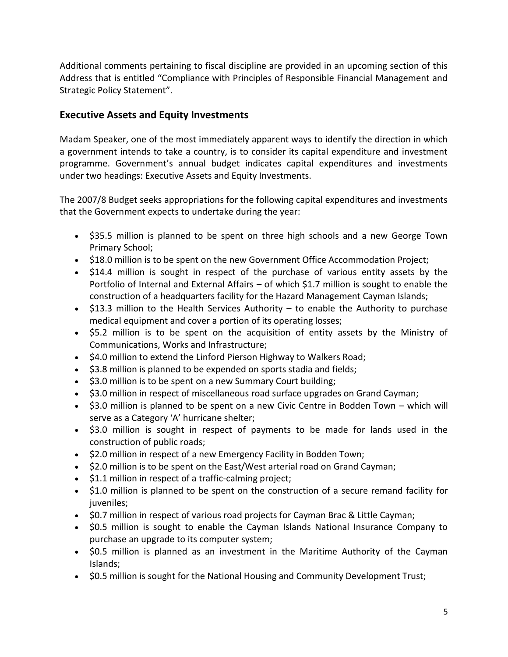Additional comments pertaining to fiscal discipline are provided in an upcoming section of this Address that is entitled "Compliance with Principles of Responsible Financial Management and Strategic Policy Statement".

### **Executive Assets and Equity Investments**

Madam Speaker, one of the most immediately apparent ways to identify the direction in which a government intends to take a country, is to consider its capital expenditure and investment programme. Government's annual budget indicates capital expenditures and investments under two headings: Executive Assets and Equity Investments.

The 2007/8 Budget seeks appropriations for the following capital expenditures and investments that the Government expects to undertake during the year:

- \$35.5 million is planned to be spent on three high schools and a new George Town Primary School;
- \$18.0 million is to be spent on the new Government Office Accommodation Project;
- \$14.4 million is sought in respect of the purchase of various entity assets by the Portfolio of Internal and External Affairs – of which \$1.7 million is sought to enable the construction of a headquarters facility for the Hazard Management Cayman Islands;
- $\bullet$  \$13.3 million to the Health Services Authority to enable the Authority to purchase medical equipment and cover a portion of its operating losses;
- \$5.2 million is to be spent on the acquisition of entity assets by the Ministry of Communications, Works and Infrastructure;
- \$4.0 million to extend the Linford Pierson Highway to Walkers Road;
- $\bullet$  \$3.8 million is planned to be expended on sports stadia and fields;
- \$3.0 million is to be spent on a new Summary Court building;
- \$3.0 million in respect of miscellaneous road surface upgrades on Grand Cayman;
- \$3.0 million is planned to be spent on a new Civic Centre in Bodden Town which will serve as a Category 'A' hurricane shelter;
- \$3.0 million is sought in respect of payments to be made for lands used in the construction of public roads;
- \$2.0 million in respect of a new Emergency Facility in Bodden Town;
- \$2.0 million is to be spent on the East/West arterial road on Grand Cayman;
- \$1.1 million in respect of a traffic-calming project;
- \$1.0 million is planned to be spent on the construction of a secure remand facility for juveniles;
- \$0.7 million in respect of various road projects for Cayman Brac & Little Cayman;
- \$0.5 million is sought to enable the Cayman Islands National Insurance Company to purchase an upgrade to its computer system;
- \$0.5 million is planned as an investment in the Maritime Authority of the Cayman Islands;
- \$0.5 million is sought for the National Housing and Community Development Trust;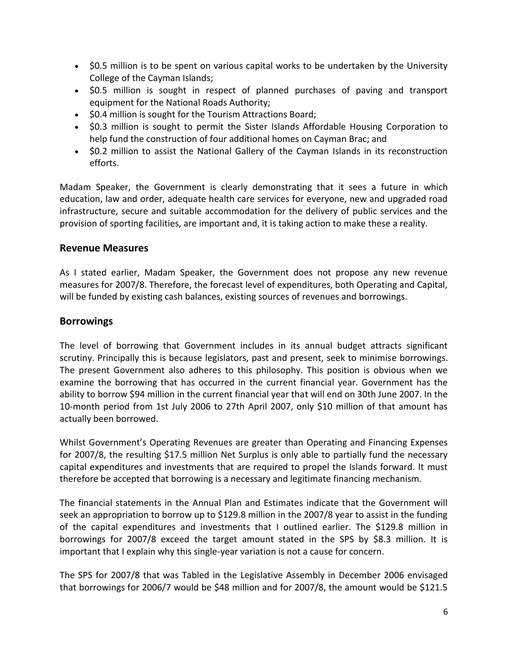- \$0.5 million is to be spent on various capital works to be undertaken by the University College of the Cayman Islands;
- \$0.5 million is sought in respect of planned purchases of paving and transport equipment for the National Roads Authority;
- \$0.4 million is sought for the Tourism Attractions Board;
- \$0.3 million is sought to permit the Sister Islands Affordable Housing Corporation to help fund the construction of four additional homes on Cayman Brac; and
- \$0.2 million to assist the National Gallery of the Cayman Islands in its reconstruction efforts.

Madam Speaker, the Government is clearly demonstrating that it sees a future in which education, law and order, adequate health care services for everyone, new and upgraded road infrastructure, secure and suitable accommodation for the delivery of public services and the provision of sporting facilities, are important and, it is taking action to make these a reality.

#### **Revenue Measures**

As I stated earlier, Madam Speaker, the Government does not propose any new revenue measures for 2007/8. Therefore, the forecast level of expenditures, both Operating and Capital, will be funded by existing cash balances, existing sources of revenues and borrowings.

### **Borrowings**

The level of borrowing that Government includes in its annual budget attracts significant scrutiny. Principally this is because legislators, past and present, seek to minimise borrowings. The present Government also adheres to this philosophy. This position is obvious when we examine the borrowing that has occurred in the current financial year. Government has the ability to borrow \$94 million in the current financial year that will end on 30th June 2007. In the 10-month period from 1st July 2006 to 27th April 2007, only \$10 million of that amount has actually been borrowed.

Whilst Government's Operating Revenues are greater than Operating and Financing Expenses for 2007/8, the resulting \$17.5 million Net Surplus is only able to partially fund the necessary capital expenditures and investments that are required to propel the Islands forward. It must therefore be accepted that borrowing is a necessary and legitimate financing mechanism.

The financial statements in the Annual Plan and Estimates indicate that the Government will seek an appropriation to borrow up to \$129.8 million in the 2007/8 year to assist in the funding of the capital expenditures and investments that I outlined earlier. The \$129.8 million in borrowings for 2007/8 exceed the target amount stated in the SPS by \$8.3 million. It is important that I explain why this single-year variation is not a cause for concern.

The SPS for 2007/8 that was Tabled in the Legislative Assembly in December 2006 envisaged that borrowings for 2006/7 would be \$48 million and for 2007/8, the amount would be \$121.5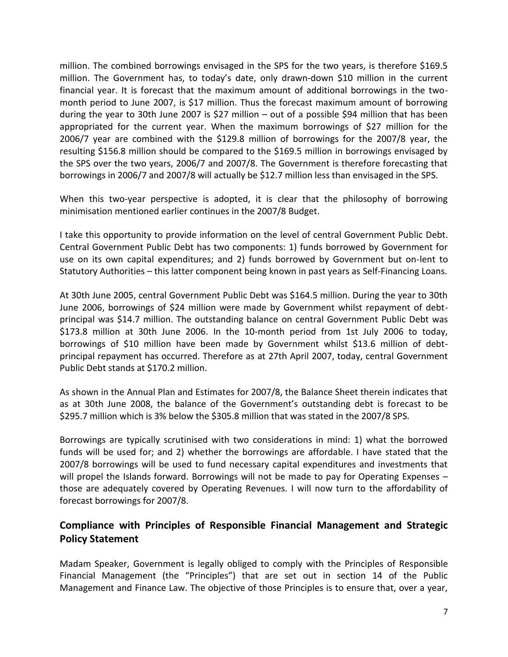million. The combined borrowings envisaged in the SPS for the two years, is therefore \$169.5 million. The Government has, to today's date, only drawn-down \$10 million in the current financial year. It is forecast that the maximum amount of additional borrowings in the twomonth period to June 2007, is \$17 million. Thus the forecast maximum amount of borrowing during the year to 30th June 2007 is \$27 million – out of a possible \$94 million that has been appropriated for the current year. When the maximum borrowings of \$27 million for the 2006/7 year are combined with the \$129.8 million of borrowings for the 2007/8 year, the resulting \$156.8 million should be compared to the \$169.5 million in borrowings envisaged by the SPS over the two years, 2006/7 and 2007/8. The Government is therefore forecasting that borrowings in 2006/7 and 2007/8 will actually be \$12.7 million less than envisaged in the SPS.

When this two-year perspective is adopted, it is clear that the philosophy of borrowing minimisation mentioned earlier continues in the 2007/8 Budget.

I take this opportunity to provide information on the level of central Government Public Debt. Central Government Public Debt has two components: 1) funds borrowed by Government for use on its own capital expenditures; and 2) funds borrowed by Government but on-lent to Statutory Authorities – this latter component being known in past years as Self-Financing Loans.

At 30th June 2005, central Government Public Debt was \$164.5 million. During the year to 30th June 2006, borrowings of \$24 million were made by Government whilst repayment of debtprincipal was \$14.7 million. The outstanding balance on central Government Public Debt was \$173.8 million at 30th June 2006. In the 10-month period from 1st July 2006 to today, borrowings of \$10 million have been made by Government whilst \$13.6 million of debtprincipal repayment has occurred. Therefore as at 27th April 2007, today, central Government Public Debt stands at \$170.2 million.

As shown in the Annual Plan and Estimates for 2007/8, the Balance Sheet therein indicates that as at 30th June 2008, the balance of the Government's outstanding debt is forecast to be \$295.7 million which is 3% below the \$305.8 million that was stated in the 2007/8 SPS.

Borrowings are typically scrutinised with two considerations in mind: 1) what the borrowed funds will be used for; and 2) whether the borrowings are affordable. I have stated that the 2007/8 borrowings will be used to fund necessary capital expenditures and investments that will propel the Islands forward. Borrowings will not be made to pay for Operating Expenses – those are adequately covered by Operating Revenues. I will now turn to the affordability of forecast borrowings for 2007/8.

## **Compliance with Principles of Responsible Financial Management and Strategic Policy Statement**

Madam Speaker, Government is legally obliged to comply with the Principles of Responsible Financial Management (the "Principles") that are set out in section 14 of the Public Management and Finance Law. The objective of those Principles is to ensure that, over a year,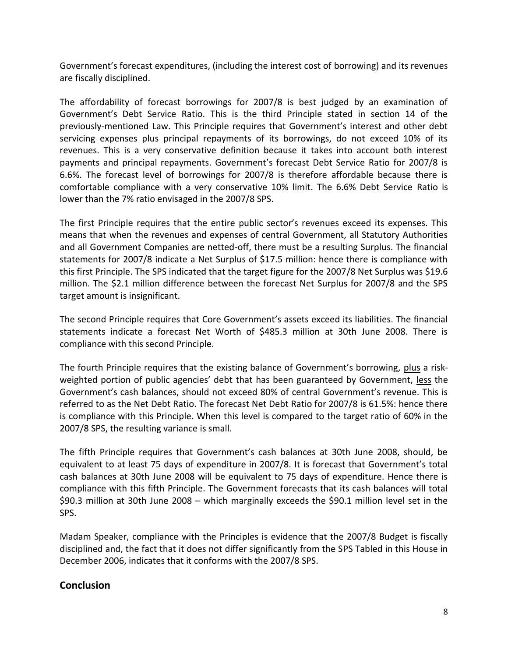Government's forecast expenditures, (including the interest cost of borrowing) and its revenues are fiscally disciplined.

The affordability of forecast borrowings for 2007/8 is best judged by an examination of Government's Debt Service Ratio. This is the third Principle stated in section 14 of the previously-mentioned Law. This Principle requires that Government's interest and other debt servicing expenses plus principal repayments of its borrowings, do not exceed 10% of its revenues. This is a very conservative definition because it takes into account both interest payments and principal repayments. Government's forecast Debt Service Ratio for 2007/8 is 6.6%. The forecast level of borrowings for 2007/8 is therefore affordable because there is comfortable compliance with a very conservative 10% limit. The 6.6% Debt Service Ratio is lower than the 7% ratio envisaged in the 2007/8 SPS.

The first Principle requires that the entire public sector's revenues exceed its expenses. This means that when the revenues and expenses of central Government, all Statutory Authorities and all Government Companies are netted-off, there must be a resulting Surplus. The financial statements for 2007/8 indicate a Net Surplus of \$17.5 million: hence there is compliance with this first Principle. The SPS indicated that the target figure for the 2007/8 Net Surplus was \$19.6 million. The \$2.1 million difference between the forecast Net Surplus for 2007/8 and the SPS target amount is insignificant.

The second Principle requires that Core Government's assets exceed its liabilities. The financial statements indicate a forecast Net Worth of \$485.3 million at 30th June 2008. There is compliance with this second Principle.

The fourth Principle requires that the existing balance of Government's borrowing, plus a riskweighted portion of public agencies' debt that has been guaranteed by Government, less the Government's cash balances, should not exceed 80% of central Government's revenue. This is referred to as the Net Debt Ratio. The forecast Net Debt Ratio for 2007/8 is 61.5%: hence there is compliance with this Principle. When this level is compared to the target ratio of 60% in the 2007/8 SPS, the resulting variance is small.

The fifth Principle requires that Government's cash balances at 30th June 2008, should, be equivalent to at least 75 days of expenditure in 2007/8. It is forecast that Government's total cash balances at 30th June 2008 will be equivalent to 75 days of expenditure. Hence there is compliance with this fifth Principle. The Government forecasts that its cash balances will total \$90.3 million at 30th June 2008 – which marginally exceeds the \$90.1 million level set in the SPS.

Madam Speaker, compliance with the Principles is evidence that the 2007/8 Budget is fiscally disciplined and, the fact that it does not differ significantly from the SPS Tabled in this House in December 2006, indicates that it conforms with the 2007/8 SPS.

### **Conclusion**